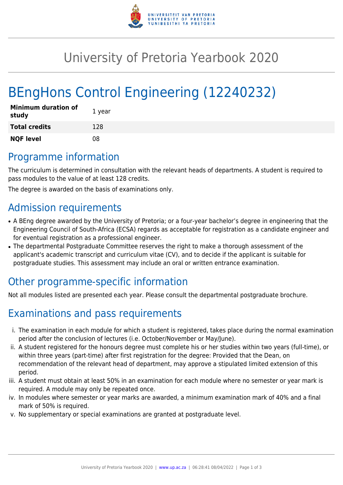

# University of Pretoria Yearbook 2020

# BEngHons Control Engineering (12240232)

| Minimum duration of<br>study | 1 year |
|------------------------------|--------|
| <b>Total credits</b>         | 128    |
| <b>NQF level</b>             | 08     |

## Programme information

The curriculum is determined in consultation with the relevant heads of departments. A student is required to pass modules to the value of at least 128 credits.

The degree is awarded on the basis of examinations only.

## Admission requirements

- A BEng degree awarded by the University of Pretoria; or a four-year bachelor's degree in engineering that the Engineering Council of South-Africa (ECSA) regards as acceptable for registration as a candidate engineer and for eventual registration as a professional engineer.
- The departmental Postgraduate Committee reserves the right to make a thorough assessment of the applicant's academic transcript and curriculum vitae (CV), and to decide if the applicant is suitable for postgraduate studies. This assessment may include an oral or written entrance examination.

# Other programme-specific information

Not all modules listed are presented each year. Please consult the departmental postgraduate brochure.

# Examinations and pass requirements

- i. The examination in each module for which a student is registered, takes place during the normal examination period after the conclusion of lectures (i.e. October/November or May/June).
- ii. A student registered for the honours degree must complete his or her studies within two years (full-time), or within three years (part-time) after first registration for the degree: Provided that the Dean, on recommendation of the relevant head of department, may approve a stipulated limited extension of this period.
- iii. A student must obtain at least 50% in an examination for each module where no semester or year mark is required. A module may only be repeated once.
- iv. In modules where semester or year marks are awarded, a minimum examination mark of 40% and a final mark of 50% is required.
- v. No supplementary or special examinations are granted at postgraduate level.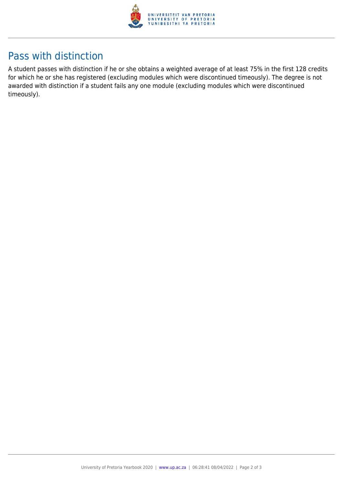

## Pass with distinction

A student passes with distinction if he or she obtains a weighted average of at least 75% in the first 128 credits for which he or she has registered (excluding modules which were discontinued timeously). The degree is not awarded with distinction if a student fails any one module (excluding modules which were discontinued timeously).